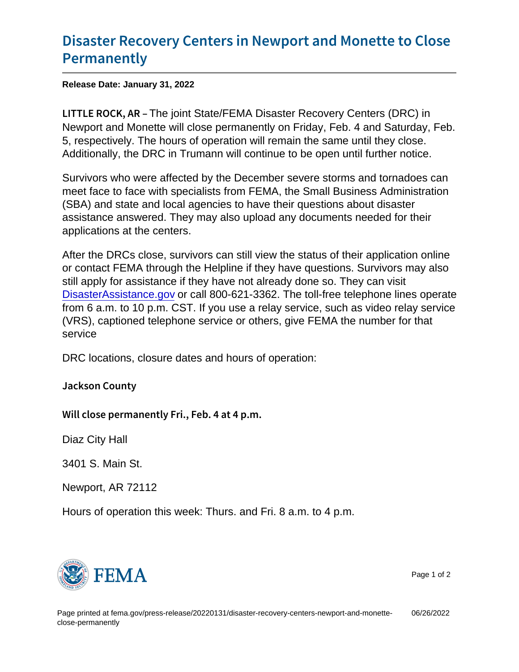## [Disaster Recovery Centers in Newpo](https://www.fema.gov/press-release/20220131/disaster-recovery-centers-newport-and-monette-close-permanently)rt and [Permane](https://www.fema.gov/press-release/20220131/disaster-recovery-centers-newport-and-monette-close-permanently)ntly

Release Date: January 31, 2022

LITTLE ROCINE, joint Instate/FEMA Disaster Recovery Centers (DRC) in Newport and Monette will close permanently on Friday, Feb. 4 and Saturday, Feb. 5, respectively. The hours of operation will remain the same until they close. Additionally, the DRC in Trumann will continue to be open until further notice.

Survivors who were affected by the December severe storms and tornadoes can meet face to face with specialists from FEMA, the Small Business Administration (SBA) and state and local agencies to have their questions about disaster assistance answered. They may also upload any documents needed for their applications at the centers.

After the DRCs close, survivors can still view the status of their application online or contact FEMA through the Helpline if they have questions. Survivors may also still apply for assistance if they have not already done so. They can visit [DisasterAssistance.gov](https://www.disasterassistance.gov/) or call 800-621-3362. The toll-free telephone lines operate from 6 a.m. to 10 p.m. CST. If you use a relay service, such as video relay service (VRS), captioned telephone service or others, give FEMA the number for that service

DRC locations, closure dates and hours of operation:

Jackson County

Will close permanently Fri., Feb. 4 at 4 p.m.

Diaz City Hall

3401 S. Main St.

Newport, AR 72112

Hours of operation this week: Thurs. and Fri. 8 a.m. to 4 p.m.



Page 1 of 2